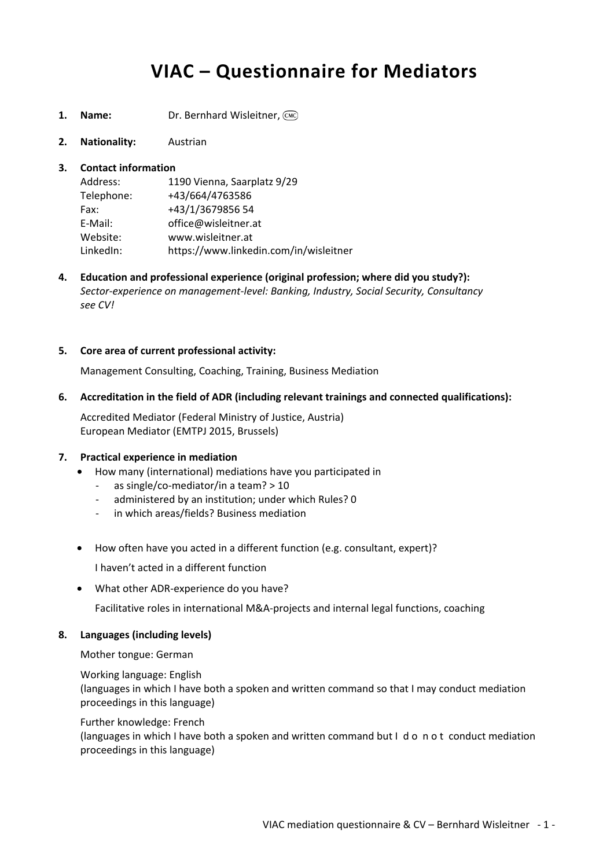# **VIAC – Questionnaire for Mediators**

- **1. Name:** Dr. Bernhard Wisleitner, CMC
- **2. Nationality:** Austrian

# **3. Contact information**

| Address:   | 1190 Vienna, Saarplatz 9/29            |
|------------|----------------------------------------|
| Telephone: | +43/664/4763586                        |
| Fax:       | +43/1/3679856 54                       |
| E-Mail:    | office@wisleitner.at                   |
| Website:   | www.wisleitner.at                      |
| LinkedIn:  | https://www.linkedin.com/in/wisleitner |

**4. Education and professional experience (original profession; where did you study?):**   *Sector-experience on management-level: Banking, Industry, Social Security, Consultancy see CV!* 

# **5. Core area of current professional activity:**

Management Consulting, Coaching, Training, Business Mediation

# **6. Accreditation in the field of ADR (including relevant trainings and connected qualifications):**

Accredited Mediator (Federal Ministry of Justice, Austria) European Mediator (EMTPJ 2015, Brussels)

#### **7. Practical experience in mediation**

- How many (international) mediations have you participated in
	- as single/co-mediator/in a team?  $> 10$
	- administered by an institution; under which Rules? 0
	- in which areas/fields? Business mediation
- How often have you acted in a different function (e.g. consultant, expert)?

I haven't acted in a different function

• What other ADR-experience do you have?

Facilitative roles in international M&A-projects and internal legal functions, coaching

#### **8. Languages (including levels)**

Mother tongue: German

# Working language: English (languages in which I have both a spoken and written command so that I may conduct mediation proceedings in this language)

# Further knowledge: French (languages in which I have both a spoken and written command but I d o n o t conduct mediation proceedings in this language)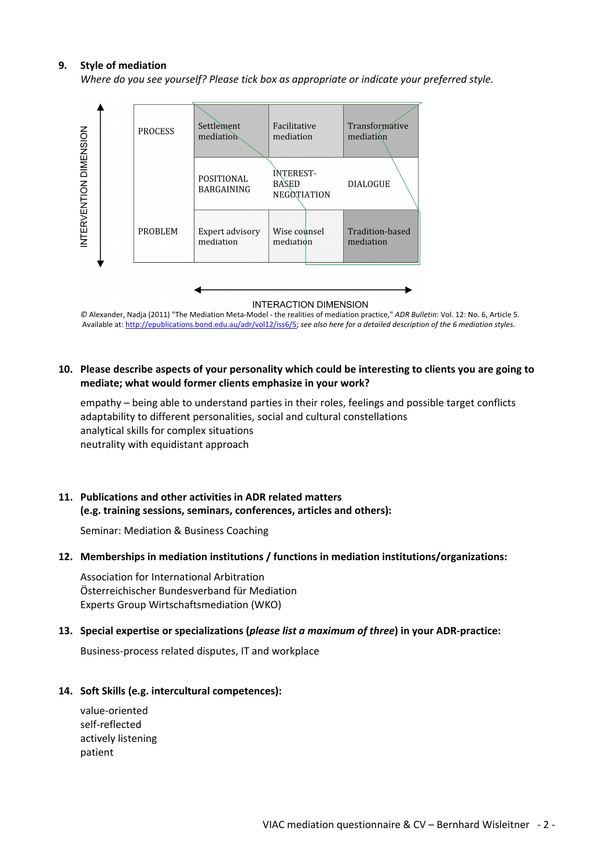#### **9. Style of mediation**

*Where do you see yourself? Please tick box as appropriate or indicate your preferred style.* 



*©* Alexander, Nadja (2011) "The Mediation Meta-Model - the realities of mediation practice," *ADR Bulletin*: Vol. 12: No. 6, Article 5. Available at: http://epublications.bond.edu.au/adr/vol12/iss6/5; *see also here for a detailed description of the 6 mediation styles.* 

#### **10. Please describe aspects of your personality which could be interesting to clients you are going to mediate; what would former clients emphasize in your work?**

empathy – being able to understand parties in their roles, feelings and possible target conflicts adaptability to different personalities, social and cultural constellations analytical skills for complex situations neutrality with equidistant approach

#### **11. Publications and other activities in ADR related matters (e.g. training sessions, seminars, conferences, articles and others):**

Seminar: Mediation & Business Coaching

#### **12. Memberships in mediation institutions / functions in mediation institutions/organizations:**

Association for International Arbitration Österreichischer Bundesverband für Mediation Experts Group Wirtschaftsmediation (WKO)

#### **13. Special expertise or specializations (***please list a maximum of three***) in your ADR-practice:**

Business-process related disputes, IT and workplace

#### **14. Soft Skills (e.g. intercultural competences):**

value-oriented self-reflected actively listening patient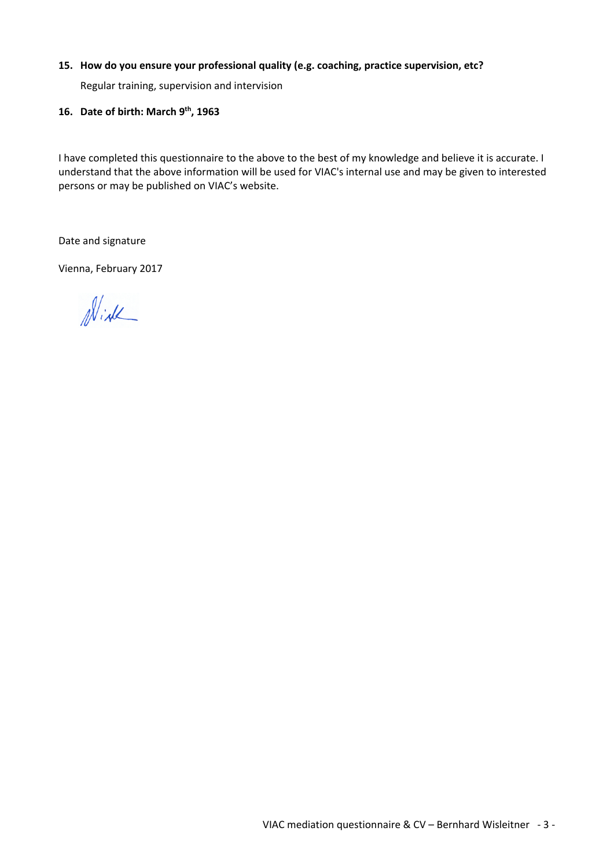# **15. How do you ensure your professional quality (e.g. coaching, practice supervision, etc?**

Regular training, supervision and intervision

# **16. Date of birth: March 9th, 1963**

I have completed this questionnaire to the above to the best of my knowledge and believe it is accurate. I understand that the above information will be used for VIAC's internal use and may be given to interested persons or may be published on VIAC's website.

Date and signature

Vienna, February 2017

Wirk